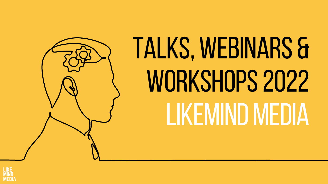# TALKS,WEBINARS & WORKSHOPS 2022 LIKEMIND MEDIA



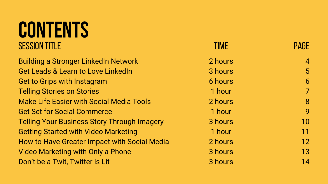### **CONTENTS** SESSION TITLE

Building a Stronger LinkedIn Network Get Leads & Learn to Love LinkedIn Get to Grips with Instagram Telling Stories on Stories Make Life Easier with Social Media Tools Get Set for Social Commerce Telling Your Business Story Through Imagery Getting Started with Video Marketing How to Have Greater Impact with Social Media Video Marketing with Only a Phone Don't be a Twit, Twitter is Lit

| <b>TIME</b>    | <b>PAGE</b>    |
|----------------|----------------|
| 2 hours        | 4              |
| 3 hours        | 5              |
| <b>6 hours</b> | 6              |
| 1 hour         | $\overline{7}$ |
| 2 hours        | 8              |
| 1 hour         | 9              |
| 3 hours        | 10             |
| 1 hour         | 11             |
| 2 hours        | 12             |
| 3 hours        | 13             |
| 3 hours        | 14             |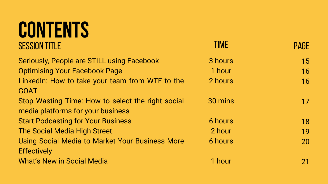| <b>TIME</b>    | <b>PAGE</b> |
|----------------|-------------|
| 3 hours        | 15          |
| 1 hour         | 16          |
| 2 hours        | 16          |
| 30 mins        | 17          |
| <b>6 hours</b> | 18          |
| 2 hour         | 19          |
| <b>6 hours</b> | 20          |
| 1 hour         | 21          |

### **CONTENTS SESSION TITLE**

Seriously, People are STILL using Facebook Optimising Your Facebook Page LinkedIn: How to take your team from WTF to the GOAT Stop Wasting Time: How to select the right social media platforms for your business Start Podcasting for Your Business The Social Media High Street Using Social Media to Market Your Business More **Effectively** What's New in Social Media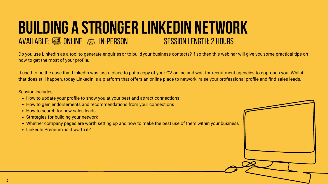Do you use LinkedIn as a tool to generate enquiries or to build your business contacts? If so then this webinar will give you some practical tips on how to get the most of your profile.

#### **BUILDING A STRONGER LINKEDIN NETWORK** SESSION LENGTH:2 HOURS AVAILABLE:  $\frac{258}{25}$  ONLINE  $\frac{25}{25}$  IN-PERSON

It used to be the case that LinkedIn was just a place to put a copy of your CV online and wait for recruitment agencies to approach you. Whilst that does still happen, today LinkedIn is a platform that offers an online place to network, raise your professional profile and find sales leads.

- How to update your profile to show you at your best and attract connections
- How to gain endorsements and recommendations from your connections
- How to search for new sales leads
- Strategies for building your network
- Whether company pages are worth setting up and how to make the best use of them within your business
- LinkedIn Premium: is it worth it?

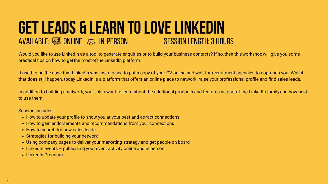- How to update your profile to show you at your best and attract connections
- How to gain endorsements and recommendations from your connections
- How to search for new sales leads
- Strategies for building your network
- Using company pages to deliver your marketing strategy and get people on board
- LinkedIn events publicising your event activity online and in person
- LinkedIn Premium

### **GETLEADS & LEARN TOLOVELINKEDIN** AVAILABLE: **SESSIONLINE** 28 IN-PERSON

Would you like touse LinkedIn as a tool to generate enquiries or to build your business contacts? If so, then this workshop will give you some practical tips on how to getthe mostofthe LinkedIn platform.

In addition to building a network, you'll also want to learn about the additional products and features as part of the LinkedIn family and how best to use them.

It used to be the case that LinkedIn was just a place to put a copy of your CV online and wait for recruitment agencies to approach you. Whilst that does still happen, today LinkedIn is a platform that offers an online place to network, raise your professional profile and find sales leads.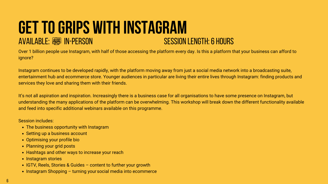### **GET TO GRIPS WITH INSTAGRAM**<br>AVAILABLE: E IN-PERSON<br>AVAILABLE: E IN-PERSON AVAILABLE: SESSION IN-PERSON

Over 1 billion people use Instagram, with half of those accessing the platform every day. Is this a platform that your business can afford to ignore?

Instagram continues to be developed rapidly, with the platform moving away from just a social media network into a broadcasting suite, entertainment hub and ecommerce store. Younger audiences in particular are living their entire lives through Instagram: finding products and services they love and sharing them with their friends.

It's not all aspiration and inspiration. Increasingly there is a business case for all organisations to have some presence on Instagram, but understanding the many applications of the platform can be overwhelming. This workshop will break down the different functionality available and feed into specific additional webinars available on this programme.

- The business opportunity with Instagram
- Setting up a business account
- Optimising your profile bio
- Planning your grid posts
- Hashtags and other ways to increase your reach
- Instagram stories
- IGTV, Reels, Stories & Guides content to further your growth
- Instagram Shopping turning your social media into ecommerce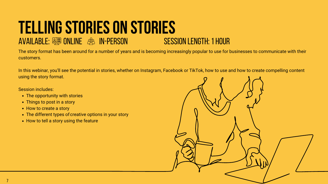### **TELLING STORIES ON STORIES**<br>AVAILABLE:  $\frac{2000}{2000}$  ONLINE  $\frac{200}{200}$  IN-PERSON AVAILABLE:  $\frac{1}{2}$  Online  $\frac{1}{2}$  in-person

The story format has been around for a number of years and is becoming increasingly popular to use for businesses to communicate with their customers.

In this webinar, you'll see the potential in stories, whether on Instagram, Facebook or TikTok, how to use and how to create compelling content using the story format.

- The opportunity with stories
- Things to post in a story
- How to create a story
- The different types of creative options in your story
- How to tell a story using the feature

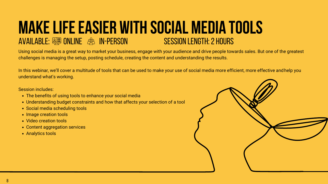- The benefits of using tools to enhance your social media
- Understanding budget constraints and how that affects your selection of a tool
- Social media scheduling tools
- Image creation tools
- Video creation tools
- Content aggregation services
- Analytics tools



#### **MAKELIFEEASIER WITH SOCIAL MEDIA TOOLS** AVAILABLE:  $\frac{258}{25}$  ONLINE  $\frac{25}{25}$  IN-PERSON

Using social media is a great way to market your business, engage with your audience and drive people towards sales. But one of the greatest challenges is managing the setup, posting schedule, creating the content and understanding the results.

In this webinar, we'll cover a multitude of tools that can be used to make your use of social media more efficient, more effective andhelp you understand what's working.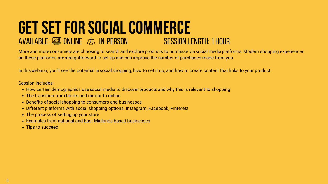#### **GET SET FOR SOCIAL COMMERCE**<br>AVAILABLE: **SURIONE & IN-PERSON**<br>AVAILABLE: SURIONE & IN-PERSON AVAILABLE:  $\frac{1}{2}$  and  $1$  online  $2$  in-person  $1$

More and moreconsumersare choosing to search and explore products to purchase viasocial mediaplatforms.Modern shopping experiences on these platforms arestraightforward to set up and can improve the number of purchases made from you.

In this webinar, you'll see the potential in social shopping, how to set it up, and how to create content that links to your product.

- How certain demographics use social media to discover products and why this is relevant to shopping
- The transition from bricks and mortar to online
- Benefits of social shopping to consumers and businesses
- Different platforms with social shopping options: Instagram, Facebook, Pinterest
- The process of setting up your store
- Examples from national and East Midlands based businesses
- Tips to succeed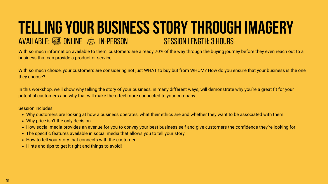- Why customers are looking at how a business operates, what their ethics are and whether they want to be associated with them
- Why price isn't the only decision
- How social media provides an avenue for you to convey your best business self and give customers the confidence they're looking for
- The specific features available in social media that allows you to tell your story
- How to tell your story that connects with the customer
- Hints and tips to get it right and things to avoid!

#### **TELLING YOUR BUSINESS STORY THROUGH IMAGERY**<br>AVAILABLE: @# ONLINE @#3 IN-PERSON NO SESSION LENGTH: 3 HOURS AVAILABLE: **SESSIONLINE** 83 IN-PERSON

With so much information available to them, customers are already 70% of the way through the buying journey before they even reach out to a business that can provide a product or service.

With so much choice, your customers are considering not just WHAT to buy but from WHOM? How do you ensure that your business is the one they choose?

In this workshop, we'll show why telling the story of your business, in many different ways, will demonstrate why you're a great fit for your potential customers and why that will make them feel more connected to your company.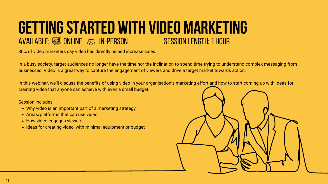- Why video is an important part of a marketing strategy
- Areas/platforms that can use video
- How video engages viewers
- Ideas for creating video, with minimal equipment or budget

#### **GETTING STARTED WITH VIDEO MARKETING**<br>AVAILABLE: **SHE ONLINE** AS IN-PERSON **SESSION LENGTH: 1 HOUR** AVAILABLE:  $\frac{258}{25}$  ONLINE  $\frac{25}{25}$  IN-PERSON

80% of video marketers say video has directly helped increase sales.

In a busy society, target audiences no longer have the time nor the inclination to spend time trying to understand complex messaging from businesses. Video is a great way to capture the engagement of viewers and drive a target market towards action.

In this webinar, we'll discuss the benefits of using video in your organisation's marketing effort and how to start coming up with ideas for creating video that anyone can achieve with even a small budget.

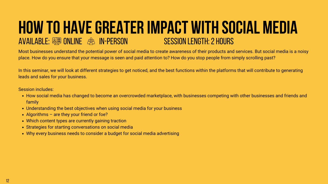- How social media has changed to become an overcrowded marketplace, with businesses competing with other businesses and friends and family
- Understanding the best objectives when using social media for your business
- Algorithms are they your friend or foe?
- Which content types are currently gaining traction
- Strategies for starting conversations on social media
- Why every business needs to consider a budget for social media advertising

#### **HOW TO HAVE GREATER IMPACT WITH SOCIAL MEDIA**<br>AVAILABLE: @@ ONLINE @& IN-PERSON AVAILABLE:  $\frac{258}{25}$  ONLINE  $\frac{253}{25}$  IN-PERSON

Most businesses understand the potential power of social media to create awareness of their products and services. But social media is a noisy place. How do you ensure that your message is seen and paid attention to? How do you stop people from simply scrolling past?

In this seminar, we will look at different strategies to get noticed, and the best functions within the platforms that will contribute to generating leads and sales for your business.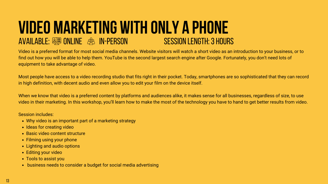- Why video is an important part of a marketing strategy
- Ideas for creating video
- Basic video content structure
- Filming using your phone
- Lighting and audio options
- Editing your video
- Tools to assist you
- business needs to consider a budget for social media advertising

#### **VIDEO MARKETING WITH ONLY A PHONE**<br>AVAILABLE: <sup>**SUMPARKETING WITH ONLY A PHONE**</sup> AVAILABLE:  $\frac{258}{25}$  ONLINE  $\frac{25}{25}$  IN-PERSON

Video is a preferred format for most social media channels. Website visitors will watch a short video as an introduction to your business, or to find out how you will be able to help them. YouTube is the second largest search engine after Google. Fortunately, you don't need lots of equipment to take advantage of video.

Most people have access to a video recording studio that fits right in their pocket. Today, smartphones are so sophisticated that they can record in high definition, with decent audio and even allow you to edit your film on the device itself.

When we know that video is a preferred content by platforms and audiences alike, it makes sense for all businesses, regardless of size, to use video in their marketing. In this workshop, you'll learn how to make the most of the technology you have to hand to get better results from video.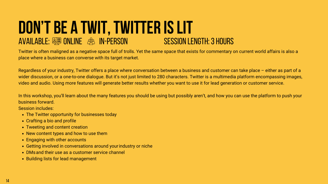#### **DON'T BE A TWIT, TWITTER IS LIT**<br>AVAILABLE: And ONLINE AND IN-PERSON AVAILABLE: **SESSIONLINE** 83 IN-PERSON

Twitter is often maligned as a negative space full of trolls. Yet the same space that exists for commentary on current world affairs is also a place where a business can converse with its target market.

Regardless of your industry, Twitter offers a place where conversation between a business and customer can take place – either as part of a wider discussion, or a one-to-one dialogue. But it's not just limited to 280 characters. Twitter is a multimedia platform encompassing images, video and audio. Using more features will generate better results whether you want to use it for lead generation or customer service.

In this workshop, you'll learn about the many features you should be using but possibly aren't, and how you can use the platform to push your business forward.

- The Twitter opportunity for businesses today
- Crafting a bio and profile
- Tweeting and content creation
- New content types and how to use them
- Engaging with other accounts
- Getting involved in conversations around yourindustry or niche
- DMsand their use as a customer service channel
- Building lists for lead management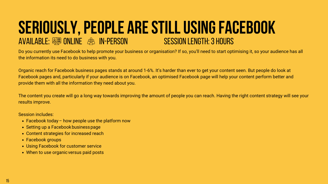### **SERIOUSLY,PEOPLE ARESTILLUSINGFACEBOOK** AVAILABLE: **SERECTION CONLINE CONDITION**

Do you currently use Facebook to help promote your business or organisation? If so, you'll need to start optimising it, so your audience has all the information its need to do business with you.

Organic reach for Facebook business pages stands at around 1-6%. It's harder than ever to get your content seen. But people do look at Facebook pages and, particularly if your audience is on Facebook, an optimised Facebook page will help your content perform better and provide them with all the information they need about you.

The content you create will go a long way towards improving the amount of people you can reach. Having the right content strategy will see your results improve.

- Facebook today how people use the platform now
- Setting up a Facebook business page
- Content strategies for increased reach
- Facebook groups
- Using Facebook for customer service
- When to use organic versus paid posts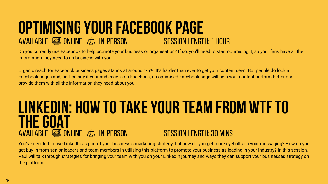#### **OPTIMISING YOUR FACEBOOK PAGE<br>AVAILABLE: <a>> ONLINE<br>>><br>><br>><br>><br>>SESSION LENGTH: 1 HOUR** AVAILABLE:  $\frac{258}{25}$  ONLINE  $\frac{25}{25}$  IN-PERSON

Do you currently use Facebook to help promote your business or organisation? If so, you'll need to start optimising it, so your fans have all the information they need to do business with you.

#### AVAILABLE:  $\frac{2588}{25}$  ONLINE  $\frac{25}{25}$  IN-PERSON SESSION LENGTH: 30 MINS **LINKEDIN: HOW TOTAKEYOUR TEAM FROM WTFTO THEGOAT**

Organic reach for Facebook business pages stands at around 1-6%. It's harder than ever to get your content seen. But people do look at Facebook pages and, particularly if your audience is on Facebook, an optimised Facebook page will help your content perform better and provide them with all the information they need about you.

You've decided to use LinkedIn as part of your business's marketing strategy, but how do you get more eyeballs on your messaging? How do you get buy-in from senior leaders and team members in utilising this platform to promote your business as leading in your industry? In this session, Paul will talk through strategies for bringing your team with you on your LinkedIn journey and ways they can support your businesses strategy on the platform.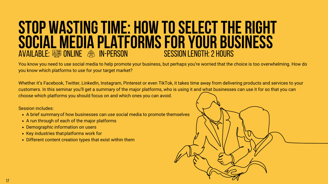- A brief summaryof how businesses can use social media to promote themselves
- A run through of each of the major platforms
- Demographic information on users
- Key industries that platforms work for
- Different content creation types that exist within them

#### **STOP WASTINGTIME: HOW TOSELECTTHE RIGHT SOCIAL MEDIA PLATFORMS FOR YOUR BUSINESS**<br>AVAILABLE: EN ONLINE AS IN-PERSON SESSION LENGTH: 2 HOURS AVAILABLE: **SESSIONLINE**  $\partial\beta$ S IN-PERSON

You know you need to use social media to help promote your business, but perhaps you're worried that the choice is too overwhelming. How do you know which platforms to use for your target market?

Whether it's Facebook, Twitter, LinkedIn, Instagram, Pinterest or even TikTok, it takes time away from delivering products and services to your customers. In this seminar you'll get a summary of the major platforms, who is using it and what businesses can use it for so that you can choose which platforms you should focus on and which ones you can avoid.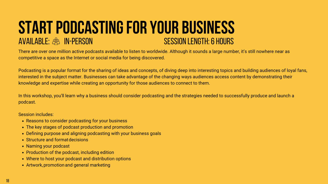- Reasons to consider podcasting for your business
- The key stages of podcast production and promotion
- Defining purpose and aligning podcasting with your business goals
- Structure and format decisions
- Naming your podcast
- Production of the podcast, including edition
- Where to host your podcast and distribution options
- Artwork,promotionand general marketing

### AVAILABLE: & IN-PERSON CONSIDERED AVAILABLE: A INFORMERS **START PODCASTING FOR YOUR BUSINESS**<br>AVAILABLE:  $\frac{A}{A}$  in-Person

There are over one million active podcasts available to listen to worldwide. Although it sounds a large number, it's still nowhere near as competitive a space as the Internet or social media for being discovered.

Podcasting is a popular format for the sharing of ideas and concepts, of diving deep into interesting topics and building audiences of loyal fans, interested in the subject matter. Businesses can take advantage of the changing ways audiences access content by demonstrating their knowledge and expertise while creating an opportunity for those audiences to connect to them.

In this workshop, you'll learn why a business should consider podcasting and the strategies needed to successfully produce and launch a podcast.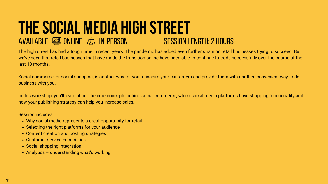- Why social media represents a great opportunity for retail
- Selecting the right platforms for your audience
- Content creation and posting strategies
- Customer service capabilities
- Social shopping integration
- Analytics understanding what's working

#### **THE SOCIAL MEDIA HIGH STREET**<br>AVAILABLE: <sup>20</sup> ONLINE *C* AN-PERSON AVAILABLE:  $\frac{2.588}{2.58}$  ONLINE  $\frac{2.58}{2.58}$  IN-PERSON

The high street has had a tough time in recent years. The pandemic has added even further strain on retail businesses trying to succeed. But we've seen that retail businesses that have made the transition online have been able to continue to trade successfully over the course of the last 18 months.

Social commerce, or social shopping, is another way for you to inspire your customers and provide them with another, convenient way to do business with you.

In this workshop, you'll learn about the core concepts behind social commerce, which social media platforms have shopping functionality and how your publishing strategy can help you increase sales.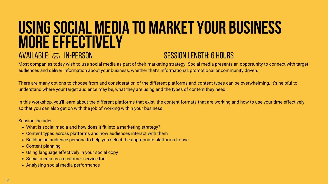- What is social media and how does it fit into a marketing strategy?
- Content types across platforms and how audiences interact with them
- Building an audience persona to help you select the appropriate platforms to use
- Content planning
- Using language effectively in your social copy
- Social media as a customer service tool
- Analysing social media performance

### **USINGSOCIAL MEDIA TO MARKETYOUR BUSINESS MOREEFFECTIVELY** AVAILABLE: & IN-PERSON NERROR SESSION LENGTH: 6 HOURS

Most companies today wish to use social media as part of their marketing strategy. Social media presents an opportunity to connect with target audiences and deliver information about your business, whether that's informational, promotional or community driven.

There are many options to choose from and consideration of the different platforms and content types can be overwhelming. It's helpful to understand where your target audience may be, what they are using and the types of content they need

In this workshop, you'll learn about the different platforms that exist, the content formats that are working and how to use your time effectively so that you can also get on with the job of working within your business.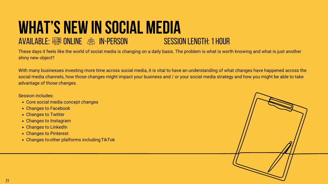- Core social media concept changes
- Changes to Facebook
- Changes to Twitter
- Changes to Instagram
- Changes to LinkedIn
- Changes to Pinterest
- Changes to other platforms including TikTok

### **WHAT'S NEW IN SOCIAL MEDIA**<br>AVAILABLE: <sup>20</sup> ONLINE 2<sup>8</sup> IN-PERSON<br>SESSION LENGTH: 1 HOUR AVAILABLE:  $\frac{258}{25}$  ONLINE  $\frac{25}{25}$  IN-PERSON

These days it feels like the world of social media is changing on a daily basis. The problem is what is worth knowing and what is just another shiny new object?

With many businesses investing more time across social media, it is vital to have an understanding of what changes have happened across the social media channels, how those changes might impact your business and / or your social media strategy and how you might be able to take advantage of those changes.